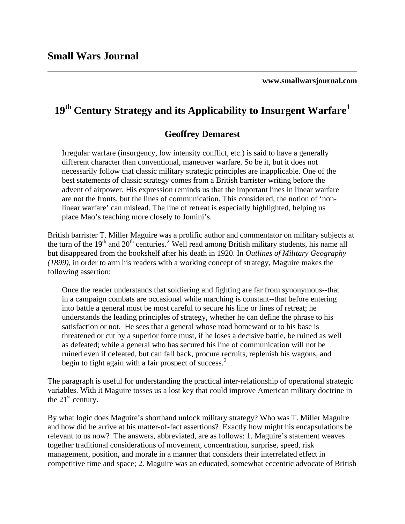**www.smallwarsjournal.com**

# **19th Century Strategy and its Applicability to Insurgent Warfare1**

## **Geoffrey Demarest**

he necessarily follow that classic military strategic principles are inapplicable. One of t are not the fronts, but the lines of communication. This considered, the notion of 'nonlinear warfare' can mislead. The line of retreat is especially highlighted, helping us place Mao's teaching more closely to Jomini's. Irregular warfare (insurgency, low intensity conflict, etc.) is said to have a generally different character than conventional, maneuver warfare. So be it, but it does not best statements of classic strategy comes from a British barrister writing before the advent of airpower. His expression reminds us that the important lines in linear warfare

British barrister T. Miller Maguire was a prolific author and commentator on military subjects at but disappeared from the bookshelf after his death in 1920. In *Outlines of Military Geography* (1899), in order to arm his readers with a working concept of strategy, Maguire makes the following assertion: the turn of the 19<sup>th</sup> and [2](#page-8-0)0<sup>th</sup> centuries.<sup>2</sup> Well read among British military students, his name all

in a campaign combats are occasional while marching is constant--that before entering understands the leading principles of strategy, whether he can define the phrase to his threatened or cut by a superior force must, if he loses a decisive battle, be ruined as well ruined even if defeated, but can fall back, procure recruits, replenish his wagons, and begin to fight again with a fair prospect of success.<sup>3</sup> Once the reader understands that soldiering and fighting are far from synonymous--that into battle a general must be most careful to secure his line or lines of retreat; he satisfaction or not. He sees that a general whose road homeward or to his base is as defeated; while a general who has secured his line of communication will not be

variables. With it Maguire tosses us a lost key that could improve American military doctrine in the  $21<sup>st</sup>$  century. The paragraph is useful for understanding the practical inter-relationship of operational strategic

and how did he arrive at his matter-of-fact assertions? Exactly how might his encapsulations be relevant to us now? The answers, abbreviated, are as follows: 1. Maguire's statement weaves competitive time and space; 2. Maguire was an educated, somewhat eccentric advocate of British By what logic does Maguire's shorthand unlock military strategy? Who was T. Miller Maguire together traditional considerations of movement, concentration, surprise, speed, risk management, position, and morale in a manner that considers their interrelated effect in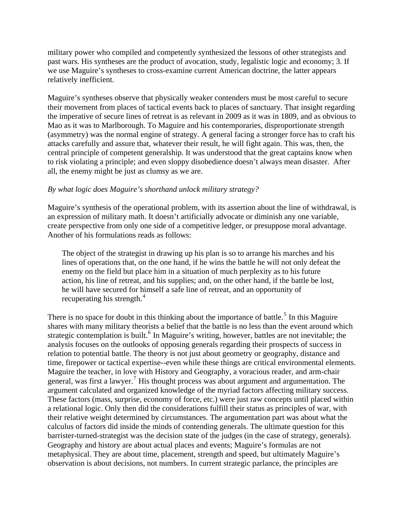military power who compiled and competently synthesized the lessons of other strategists and past wars. His syntheses are the product of avocation, study, legalistic logic and economy; 3 . If we use Maguire's syn theses to cross-examine current American doctrine, the latter appears relatively inefficient.

the imperative of secure lines of retreat is as relevant in 2009 as it was in 1809, and as obvious to (asymmetry) was the normal engine of strategy. A general facing a stronger force has to craft his to risk violating a principle; and even sloppy disobedience doesn't always mean disaster. After all, the enemy might be just as clumsy as we are. Maguire's syntheses observe that physically weaker contenders must be most careful to secure their movement from places of tactical events back to places of sanctuary. That insight regarding Mao as it was to Marlborough. To Maguire and his contemporaries, disproportionate strength attacks carefully and assure that, whatever their result, he will fight again. This was, then, the central principle of competent generalship. It was understood that the great captains know when

#### By what logic does Maguire's shorthand unlock military strategy?

Maguire's synthesis of the operational problem, with its assertion about the line of withdrawal, is create perspective from only one side of a competitive ledger, or presuppose moral advantage. Another of his formulations reads as follows: an expression of military math. It doesn't artificially advocate or diminish any one variable,

lines of operations that, on the one hand, if he wins the battle he will not only defeat the action, his line of retreat, and his supplies; and, on the other hand, if the battle be lost, he will have secured for himself a safe line of retreat, and an opportunity of recuperating his strength.<sup>4</sup> The object of the strategist in drawing up his plan is so to arrange his marches and his enemy on the field but place him in a situation of much perplexity as to his future

shares with many military theorists a belief that the battle is no less than the event around which barrister-turned-strategist was the decision state of the judges (in the case of strategy, generals). There is no space for doubt in this thinking about the importance of battle.<sup>[5](#page-9-0)</sup> In this Maguire strategic contemplation is built.<sup>[6](#page-9-0)</sup> In Maguire's writing, however, battles are not inevitable; the analysis focuses on the outlooks of opposing generals regarding their prospects of success in relation to potential battle. The theory is not just about geometry or geography, distance and time, firepower or tactical expertise--even while these things are critical environmental elements. Maguire the teacher, in love with History and Geography, a voracious reader, and arm-chair general, was first a lawyer.<sup>[7](#page-9-0)</sup> His thought process was about argument and argumentation. The argument calculated and organized knowledge of the myriad factors affecting military success. These factors (mass, surprise, economy of force, etc.) were just raw concepts until placed within a relational logic. Only then did the considerations fulfill their status as principles of war, with their relative weight determined by circumstances. The argumentation part was about what the calculus of factors did inside the minds of contending generals. The ultimate question for this Geography and history are about actual places and events; Maguire's formulas are not metaphysical. They are about time, placement, strength and speed, but ultimately Maguire's observation is about decisions, not numbers. In current strategic parlance, the principles are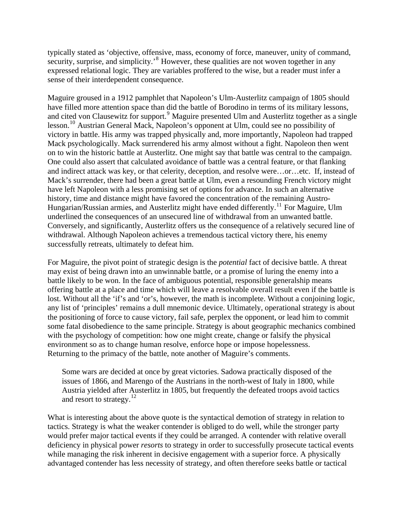typically stated as 'objective, offensive, mass, economy of force, maneuver, unity of command, security, surprise, and simplicity.'<sup>[8](#page-9-0)</sup> However, these qualities are not woven together in any expressed relational logic. They are variables proffered to the wise, but a reader must infer a sense of their interdependent consequence.

and cited von Clausewitz for support.<sup>[9](#page-9-0)</sup> Maguire presented Ulm and Austerlitz together as a single . on to win the historic battle at Austerlitz. One might say that battle was central to the campaign Mack's surrender, there had been a great battle at Ulm, even a resounding French victory might Conversely, and significantly, Austerlitz offers us the consequence of a relatively secured line of withdrawal. Although Napoleon achieves a tremendous tactical victory there, his enemy successfully retreats, ultimately to defeat him. Maguire groused in a 1912 pamphlet that Napoleon's Ulm-Austerlitz campaign of 1805 should have filled more attention space than did the battle of Borodino in terms of its military lessons, lesson.<sup>[10](#page-10-0)</sup> Austrian General Mack, Napoleon's opponent at Ulm, could see no possibility of victory in battle. His army was trapped physically and, more importantly, Napoleon had trapped Mack psychologically. Mack surrendered his army almost without a fight. Napoleon then went One could also assert that calculated avoidance of battle was a central feature, or that flanking and indirect attack was key, or that celerity, deception, and resolve were…or…etc. If, instead of have left Napoleon with a less promising set of options for advance. In such an alternative history, time and distance might have favored the concentration of the remaining Austro-Hungarian/Russian armies, and Austerlitz might have ended differently.<sup>[11](#page-10-0)</sup> For Maguire, Ulm underlined the consequences of an unsecured line of withdrawal from an unwanted battle.

For Maguire, the pivot point of strategic design is the *potential* fact of decisive battle. A threat any list of 'principles' remains a dull mnemonic device. Ultimately, operational strategy is about some fatal disobedience to the same principle. Strategy is about geographic mechanics combined with the psychology of competition: how one might create, change or falsify the physical environment so as to change human resolve, enforce hope or impose hopelessness. Returning to the primacy of the battle, note another of Maguire's comments. may exist of being drawn into an unwinnable battle, or a promise of luring the enemy into a battle likely to be won. In the face of ambiguous potential, responsible generalship means offering battle at a place and time which will leave a resolvable overall result even if the battle is lost. Without all the 'if's and 'or's, however, the math is incomplete. Without a conjoining logic, the positioning of force to cause victory, fail safe, perplex the opponent, or lead him to commit

Austria yielded after Austerlitz in 1805, but frequently the defeated troops avoid tactics and resort to strategy.<sup>12</sup> Some wars are decided at once by great victories. Sadowa practically disposed of the issues of 1866, and Marengo of the Austrians in the north-west of Italy in 1800, while

deficiency in physical power *resorts* to strategy in order to successfully prosecute tactical events What is interesting about the above quote is the syntactical demotion of strategy in relation to tactics. Strategy is what the weaker contender is obliged to do well, while the stronger party would prefer major tactical events if they could be arranged. A contender with relative overall while managing the risk inherent in decisive engagement with a superior force. A physically advantaged contender has less necessity of strategy, and often therefore seeks battle or tactical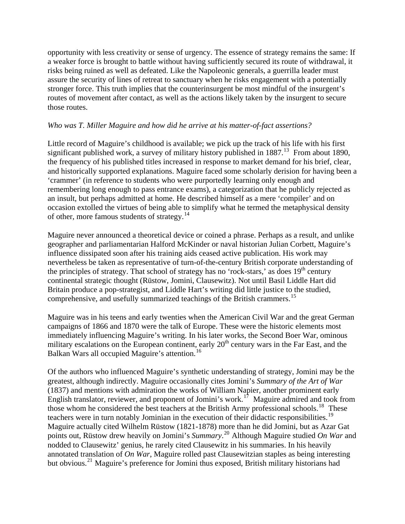opportunity with less creativity or sense of urgency. The essence of strategy remains the same: If a weaker force is brought to battle without having sufficiently secured its route of withdrawa l, it risks being ruined as well as defeated. Like the Napoleonic generals, a guerrilla leader must assure the security of lines of retreat to sanctuary when he risks engagement with a potentially stronger force. This truth implies that the counterinsurgent be most mindful of the insurgent's routes of mov ement after contact, as well as the actions likely taken by the insurgent to secure those routes.

#### Who was T. Miller Maguire and how did he arrive at his matter-of-fact assertions?

and historically supported explanations. Maguire faced some scholarly derision for having been a remembering long enough to pass entrance exams), a categorization that he publicly rejected as occasion extolled the virtues of being able to simplify what he termed the metaphysical density of other, more famous students of strategy.<sup>14</sup> Little record of Maguire's childhood is available; we pick up the track of his life with his first significant published work, a survey of military history published in  $1887<sup>13</sup>$  $1887<sup>13</sup>$  $1887<sup>13</sup>$  From about 1890, the frequency of his published titles increased in response to market demand for his brief, clear, 'crammer' (in reference to students who were purportedly learning only enough and an insult, but perhaps admitted at home. He described himself as a mere 'compiler' and on

geographer and parliamentarian Halford McKinder or naval historian Julian Corbett, Maguire's nevertheless be taken as representative of turn-of-the-century British corporate understanding of Britain produce a pop-strategist, and Liddle Hart's writing did little justice to the studied, comprehensive, and usefully summarized teachings of the British crammers.<sup>15</sup> Maguire never announced a theoretical device or coined a phrase. Perhaps as a result, and unlike influence dissipated soon after his training aids ceased active publication. His work may the principles of strategy. That school of strategy has no 'rock-stars,' as does  $19<sup>th</sup>$  century continental strategic thought (Rüstow, Jomini, Clausewitz). Not until Basil Liddle Hart did

Maguire was in his teens and early twenties when the American Civil War and the great German military escalations on the European continent, early  $20<sup>th</sup>$  century wars in the Far East, and the Balkan Wars all occupied Maguire's attention.<sup>16</sup> campaigns of 1866 and 1870 were the talk of Europe. These were the historic elements most immediately influencing Maguire's writing. In his later works, the Second Boer War, ominous

Of the authors who influenced Maguire's synthetic understanding of strategy, Jomini may be the those whom he considered the best teachers at the British Army professional schools.<sup>[18](#page-11-0)</sup> These points out, Rüstow drew heavily on Jomini's *Summary*.<sup>[20](#page-11-0)</sup> Although Maguire studied *On War* and annotated translation of *On War*, Maguire rolled past Clausewitzian staples as being interesting greatest, although indirectly. Maguire occasionally cites Jomini's *Summary of the Art of War* (1837) and mentions with admiration the works of William Napier, another prominent early English translator, reviewer, and proponent of Jomini's work.<sup>[17](#page-11-0)</sup> Maguire admired and took from teachers were in turn notably Jominian in the execution of their didactic responsibilities.<sup>[19](#page-11-0)</sup> Maguire actually cited Wilhelm Rüstow (1821-1878) more than he did Jomini, but as Azar Gat nodded to Clausewitz' genius, he rarely cited Clausewitz in his summaries. In his heavily but obvious.<sup>[21](#page-11-0)</sup> Maguire's preference for Jomini thus exposed, British military historians had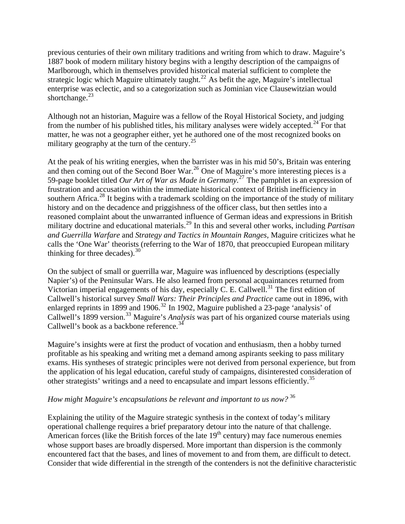previous centuries of their own military traditions and writing from which to draw. Maguire's 1887 book of modern military history begins with a lengthy description of the campaigns o f Marlborough, which in themselves provided historical material sufficient to complete the strategic logic which Maguire ultimately taught.<sup>[22](#page-11-0)</sup> As befit the age, Maguire's intellectual enterprise was eclectic, and so a categorization such as Jominian vice Clausewitzian would shortchange. $^{23}$ 

matter, he was not a geographer either, yet he authored one of the most recognized books on military geography at the turn of the century.<sup>25</sup> Although not an historian, Maguire was a fellow of the Royal Historical Society, and judging from the number of his published titles, his military analyses were widely accepted.<sup>[24](#page-11-0)</sup> For that

59-page booklet titled *Our Art of War as Made in Germany*.<sup>[27](#page-12-0)</sup> The pamphlet is an expression of southern Africa.<sup>[28](#page-12-0)</sup> It begins with a trademark scolding on the importance of the study of military calls the 'One War' theorists (referring to the War of 1870, that preoccupied European military thinking for three decades).<sup>30</sup> At the peak of his writing energies, when the barrister was in his mid 50's, Britain was entering and then coming out of the Second Boer War.<sup>[26](#page-12-0)</sup> One of Maguire's more interesting pieces is a frustration and accusation within the immediate historical context of British inefficiency in history and on the decadence and priggishness of the officer class, but then settles into a reasoned complaint about the unwarranted influence of German ideas and expressions in British military doctrine and educational materials.[29](#page-12-0) In this and several other works, including *Partisan and Guerrilla Warfare* and *Strategy and Tactics in Mountain Ranges*, Maguire criticizes what he

Napier's) of the Peninsular Wars. He also learned from personal acquaintances returned from Callwell's historical survey *Small Wars: Their Principles and Practice* came out in 1896, with Callwell's 1899 version.<sup>[33](#page-13-0)</sup> Maguire's *Analysis* was part of his organized course materials using Callwell's book as a backbone reference.<sup>34</sup> On the subject of small or guerrilla war, Maguire was influenced by descriptions (especially Victorian imperial engagements of his day, especially C. E. Callwell.<sup>[31](#page-13-0)</sup> The first edition of enlarged reprints in 1899 and 1906.<sup>[32](#page-13-0)</sup> In 1902, Maguire published a 23-page 'analysis' of

the application of his legal education, careful study of campaigns, disinterested consideration of other strategists' writings and a need to encapsulate and impart lessons efficiently.<sup>35</sup> Maguire's insights were at first the product of vocation and enthusiasm, then a hobby turned profitable as his speaking and writing met a demand among aspirants seeking to pass military exams. His syntheses of strategic principles were not derived from personal experience, but from

### *ow might Maguire's encapsulations be relevant and important to us now?* <sup>36</sup> *H*

Consider that wide differential in the strength of the contenders is not the definitive characteristic Explaining the utility of the Maguire strategic synthesis in the context of today's military operational challenge requires a brief preparatory detour into the nature of that challenge. American forces (like the British forces of the late  $19<sup>th</sup>$  century) may face numerous enemies whose support bases are broadly dispersed. More important than dispersion is the commonly encountered fact that the bases, and lines of movement to and from them, are difficult to detect.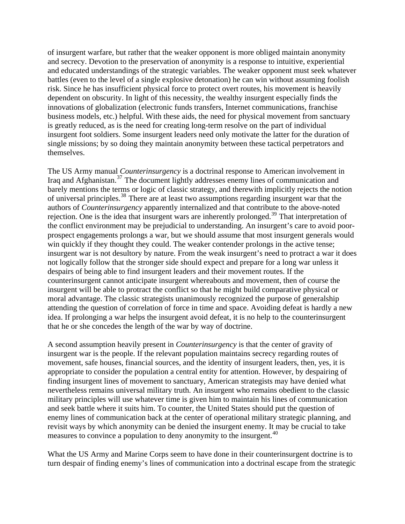of insurgent warfare, but rather that the weaker opponent is more obliged maintain anonymity and secrecy. Devotion to the preservation of anonymity is a response to intuitive, experiential and educated understandings of the strategic variables. The weaker opponent must seek whateve r battles (even to the level of a single explosive detonation) he can win without assuming foolis h risk. Since he has insufficient physical force to protect overt routes, his movement is heavily dependent on obscurity. In light of this necessity, the wealthy insurgent especially finds the innovations of globalization (electronic funds transfers, Internet communications, franchise business models, etc.) helpful. With these aids, the need for physical movement from san ctuary is greatly reduced, as is the need for creating long-term resolve on the part of individual insurgent foot soldiers. Some insurgent leaders need only motivate the latter for the duration o f single missions; by so doing they maintain anonymity between these tactical perpetrators and themselves.

barely mentions the terms or logic of classic strategy, and therewith implicitly rejects the notion prospect engagements prolongs a war, but we should assume that most insurgent generals would insurgent war is not desultory by nature. From the weak insurgent's need to protract a war it does not logically follow that the stronger side should expect and prepare for a long war unless it idea. If prolonging a war helps the insurgent avoid defeat, it is no help to the counterinsurgent that he or she concedes the length of the war by way of doctrine. The US Army manual *Counterinsurgency* is a doctrinal response to American involvement in Iraq and Afghanistan.[37](#page-14-0) The document lightly addresses enemy lines of communication and of universal principles.[38](#page-14-0) There are at least two assumptions regarding insurgent war that the authors of *Counterinsurgency* apparently internalized and that contribute to the above-noted rejection. One is the idea that insurgent wars are inherently prolonged.<sup>[39](#page-14-0)</sup> That interpretation of the conflict environment may be prejudicial to understanding. An insurgent's care to avoid poorwin quickly if they thought they could. The weaker contender prolongs in the active tense; despairs of being able to find insurgent leaders and their movement routes. If the counterinsurgent cannot anticipate insurgent whereabouts and movement, then of course the insurgent will be able to protract the conflict so that he might build comparative physical or moral advantage. The classic strategists unanimously recognized the purpose of generalship attending the question of correlation of force in time and space. Avoiding defeat is hardly a new

military principles will use whatever time is given him to maintain his lines of communication revisit ways by which anonymity can be denied the insurgent enemy. It may be crucial to take measures to convince a population to deny anonymity to the insurgent.<sup>40</sup> A second assumption heavily present in *Counterinsurgency* is that the center of gravity of insurgent war is the people. If the relevant population maintains secrecy regarding routes of movement, safe houses, financial sources, and the identity of insurgent leaders, then, yes, it is appropriate to consider the population a central entity for attention. However, by despairing of finding insurgent lines of movement to sanctuary, American strategists may have denied what nevertheless remains universal military truth. An insurgent who remains obedient to the classic and seek battle where it suits him. To counter, the United States should put the question of enemy lines of communication back at the center of operational military strategic planning, and

turn despair of finding enemy's lines of communication into a doctrinal escape from the strategic What the US Army and Marine Corps seem to have done in their counterinsurgent doctrine is to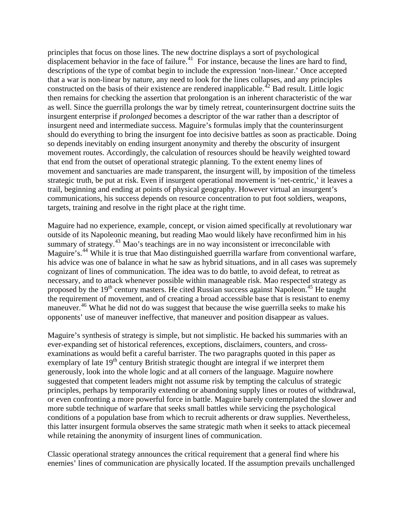principles that focus on those lines. The new doctrine displays a sort of psychological displacement behavior in the face of failure.<sup>[41](#page-14-0)</sup> For instance, because the lines are hard to find, descriptions of the type of combat begin to include the expression 'non-linear.' Once accepted that a war is non-linear by nature, any need to look for the lines collapses, and any principles constructed on the basis of their existence are rendered inapplicable.<sup> $42$ </sup> Bad result. Little logic as well. Since the guerrilla prolongs the war by timely retreat, counterinsurgent doctrine suits the should do everything to bring the insurgent foe into decisive battles as soon as practicable. Doing movement routes. Accordingly, the calculation of resources should be heavily weighted toward strategic truth, be put at risk. Even if insurgent operational movement is 'net-centric,' it leaves a communications, his success depends on resource concentration to put foot soldiers, weapons, targets, training and resolve in the right place at the right time. then remains for checking the assertion that prolongation is an inherent characteristic of the war insurgent enterprise if *prolonged* becomes a descriptor of the war rather than a descriptor of insurgent need and intermediate success. Maguire's formulas imply that the counterinsurgent so depends inevitably on ending insurgent anonymity and thereby the obscurity of insurgent that end from the outset of operational strategic planning. To the extent enemy lines of movement and sanctuaries are made transparent, the insurgent will, by imposition of the timeless trail, beginning and ending at points of physical geography. However virtual an insurgent's

Maguire had no experience, example, concept, or vision aimed specifically at revolutionary war outside of its Napoleonic meaning, but reading Mao would likely have reconfirmed him in his his advice was one of balance in what he saw as hybrid situations, and in all cases was supremely maneuver.<sup>[46](#page-15-0)</sup> What he did not do was suggest that because the wise guerrilla seeks to make his pponents' use of maneuver ineffective, that maneuver and position disappear as values. o summary of strategy.<sup>[43](#page-14-0)</sup> Mao's teachings are in no way inconsistent or irreconcilable with Maguire's.<sup>[44](#page-15-0)</sup> While it is true that Mao distinguished guerrilla warfare from conventional warfare, cognizant of lines of communication. The idea was to do battle, to avoid defeat, to retreat as necessary, and to attack whenever possible within manageable risk. Mao respected strategy as proposed by the  $19<sup>th</sup>$  century masters. He cited Russian success against Napoleon.<sup>[45](#page-15-0)</sup> He taught the requirement of movement, and of creating a broad accessible base that is resistant to enemy

Maguire's synthesis of strategy is simple, but not simplistic. He backed his summaries with an examinations as would befit a careful barrister. The two paragraphs quoted in this paper as or even confronting a more powerful force in battle. Maguire barely contemplated the slower and this latter insurgent formula observes the same strategic math when it seeks to attack piecemeal while retaining the anonymity of insurgent lines of communication. ever-expanding set of historical references, exceptions, disclaimers, counters, and crossexemplary of late  $19<sup>th</sup>$  century British strategic thought are integral if we interpret them generously, look into the whole logic and at all corners of the language. Maguire nowhere suggested that competent leaders might not assume risk by tempting the calculus of strategic principles, perhaps by temporarily extending or abandoning supply lines or routes of withdrawal, more subtle technique of warfare that seeks small battles while servicing the psychological conditions of a population base from which to recruit adherents or draw supplies. Nevertheless,

Classic operational strategy announces the critical requirement that a general find where his enemies' lines of communication are physically located. If the assumption prevails unchallenged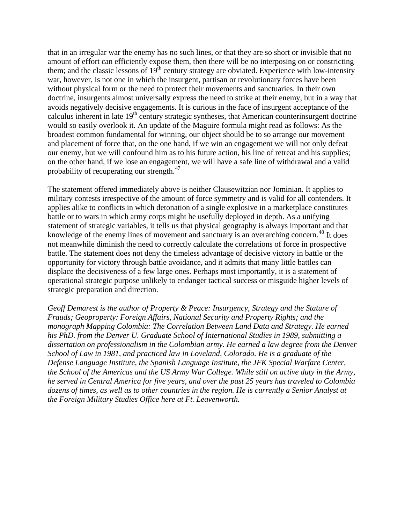that in an irregular war the enemy has no such lines, or that they are so short or invisible that no amount of effort can efficiently expose them, then there will be no interposing on or constricting them; and the classic lessons of  $19<sup>th</sup>$  century strategy are obviated. Experience with low-intensity war, however, is not one in which the insurgent, partisan or revolutionary forces have been without physical form or the need to protect their movements and sanctuaries. In their own doctrine, insurgents almost universally express the need to strike at their enemy, but in a way th at avoids negatively decisive engagements. It is curious in the face of insurgent acceptance of the calculus inherent in late 19<sup>th</sup> century strategic syntheses, that American counterinsurgent doctrine would so easily overlook it. An update of the Maguire formula might read as follows: As the broadest common fundamental for winning, our object should be to so arrange our movement and placement of force that, on the one hand, if we win an engagement we will not only defeat our enemy, but we will confound him as to his future action, his line of retreat and his supplies; on the other hand, if we lose an engagement, we will have a safe line of withdrawal and a valid probability of recuperating our strength.<sup>47</sup>

applies alike to conflicts in which detonation of a single explosive in a marketplace constitutes battle. The statement does not deny the timeless advantage of decisive victory in battle or the operational strategic purpose unlikely to endanger tactical success or misguide higher levels of strategic preparation and direction. The statement offered immediately above is neither Clausewitzian nor Jominian. It applies to military contests irrespective of the amount of force symmetry and is valid for all contenders. It battle or to wars in which army corps might be usefully deployed in depth. As a unifying statement of strategic variables, it tells us that physical geography is always important and that knowledge of the enemy lines of movement and sanctuary is an overarching concern.<sup>[48](#page-15-0)</sup> It does not meanwhile diminish the need to correctly calculate the correlations of force in prospective opportunity for victory through battle avoidance, and it admits that many little battles can displace the decisiveness of a few large ones. Perhaps most importantly, it is a statement of

Geoff Demarest is the author of Property & Peace: Insurgency, Strategy and the Stature of monograph Mapping Colombia: The Correlation Between Land Data and Strategy. He earned dissertation on professionalism in the Colombian army. He earned a law degree from the Denver he served in Central America for five years, and over the past 25 years has traveled to Colombia dozens of times, as well as to other countries in the region. He is currently a Senior Analyst at *e Foreign Military Studies Office here at Ft. Leavenworth. thFrauds; Geoproperty: Foreign Affairs, National Security and Property Rights; and the his PhD. from the Denver U. Graduate School of International Studies in 1989, submitting a School of Law in 1981, and practiced law in Loveland, Colorado. He is a graduate of the Defense Language Institute, the Spanish Language Institute, the JFK Special Warfare Center, the School of the Americas and the US Army War College. While still on active duty in the Army,*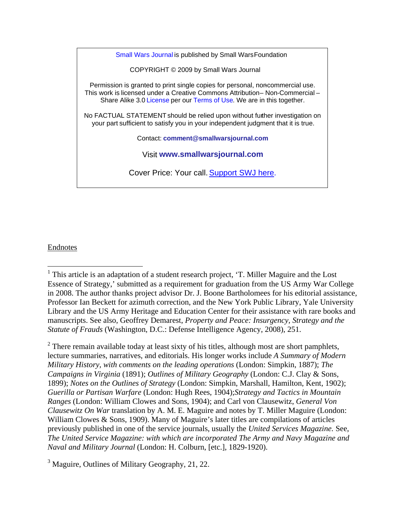<span id="page-8-0"></span>Small Wars Journal is published by Small WarsFoundation COPYRIGHT © 2009 by Small Wars Journal Permission is granted to print single copies for personal, noncommercial use. This work is licensed under a Creative Commons Attribution– Non-Commercial – Share Alike 3.0 License per our Terms of Use. We are in this together. No FACTUAL STATEMENT should be relied upon without further investigation on your part sufficient to satisfy you in your independent judgment that it is true. Contact: **comment@smallwarsjournal.com** Visit **www.smallwarsjournal.com** Cover Price: Your call. [Support SWJ here](https://www.paypal.com/us/cgi-bin/webscr?cmd=_flow&SESSION=ePbqNDfxm-yGoqOCJE-8MbfAmJynr283Ln4GnqmZk-Y5p9Mf-TxrK9QtH9O&dispatch=5885d80a13c0db1f9fecf49521b3f5afc18ba9034b1c79cbd5929eac28412d99).

#### Endnotes

 $\overline{a}$ 

 $<sup>1</sup>$  This article is an adaptation of a student research project, 'T. Miller Maguire and the Lost</sup> Essence of Strategy,' submitted as a requirement for graduation from the US Army War College in 2008. The author thanks project advisor Dr. J. Boone Bartholomees for his editorial assistance, Professor Ian Beckett for azimuth correction, and the New York Public Library, Yale University Library and the US Army Heritage and Education Center for their assistance with rare books and manuscripts. See also, Geoffrey Demarest, *Property and Peace: Insurgency, Strategy and the Statute of Frauds* (Washington, D.C.: Defense Intelligence Agency, 2008), 251.

<sup>&</sup>lt;sup>2</sup> There remain available today at least sixty of his titles, although most are short pamphlets, lecture summaries, narratives, and editorials. His longer works include *A Summary of Modern Military History, with comments on the leading operations* (London: Simpkin, 1887); *The Campaigns in Virginia* (1891); *Outlines of Military Geography* (London: C.J. Clay & Sons, 1899); *Notes on the Outlines of Strategy* (London: Simpkin, Marshall, Hamilton, Kent, 1902); *Guerilla or Partisan Warfare* (London: Hugh Rees, 1904);*Strategy and Tactics in Mountain Ranges* (London: William Clowes and Sons, 1904); and Carl von Clausewitz, *General Von Clausewitz On War* translation by A. M. E. Maguire and notes by T. Miller Maguire (London: William Clowes & Sons, 1909). Many of Maguire's later titles are compilations of articles previously published in one of the service journals, usually the *United Services Magazine.* See, *The United Service Magazine: with which are incorporated The Army and Navy Magazine and Naval and Military Journal* (London: H. Colburn, [etc.], 1829-1920).

<sup>&</sup>lt;sup>3</sup> Maguire, Outlines of Military Geography, 21, 22.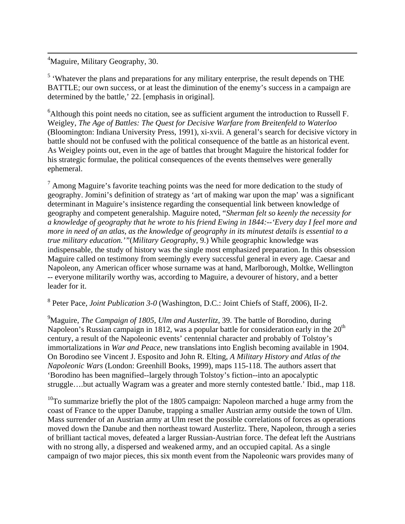<sup>4</sup>Maguire, Military Geography, 30.

<span id="page-9-0"></span> $\overline{a}$ 

 $<sup>5</sup>$  'Whatever the plans and preparations for any military enterprise, the result depends on THE</sup> BATTLE; our own success, or at least the diminution of the enemy's success in a campaign are determined by the battle,' 22. [emphasis in original].

 $6$ Although this point needs no citation, see as sufficient argument the introduction to Russell F. Weigley, *The Age of Battles: The Quest for Decisive Warfare from Breitenfeld to Waterloo* (Bloomington: Indiana University Press, 1991), xi-xvii. A general's search for decisive victory in battle should not be confused with the political consequence of the battle as an historical event. As Weigley points out, even in the age of battles that brought Maguire the historical fodder for his strategic formulae, the political consequences of the events themselves were generally ephemeral.

 $<sup>7</sup>$  Among Maguire's favorite teaching points was the need for more dedication to the study of</sup> geography. Jomini's definition of strategy as 'art of making war upon the map' was a significant determinant in Maguire's insistence regarding the consequential link between knowledge of geography and competent generalship. Maguire noted, "*Sherman felt so keenly the necessity for a knowledge of geography that he wrote to his friend Ewing in 1844:--'Every day I feel more and more in need of an atlas, as the knowledge of geography in its minutest details is essential to a true military education.'"*(*Military Geography*, 9.) While geographic knowledge was indispensable, the study of history was the single most emphasized preparation. In this obsession Maguire called on testimony from seemingly every successful general in every age. Caesar and Napoleon, any American officer whose surname was at hand, Marlborough, Moltke, Wellington -- everyone militarily worthy was, according to Maguire, a devourer of history, and a better leader for it.

8 Peter Pace, *Joint Publication 3-0* (Washington, D.C.: Joint Chiefs of Staff, 2006), II-2.

9 Maguire, *The Campaign of 1805, Ulm and Austerlitz*, 39. The battle of Borodino, during Napoleon's Russian campaign in 1812, was a popular battle for consideration early in the  $20<sup>th</sup>$ century, a result of the Napoleonic events' centennial character and probably of Tolstoy's immortalizations in *War and Peace*, new translations into English becoming available in 1904. On Borodino see Vincent J. Esposito and John R. Elting, *A Military History and Atlas of the Napoleonic Wars* (London: Greenhill Books, 1999), maps 115-118. The authors assert that 'Borodino has been magnified--largely through Tolstoy's fiction--into an apocalyptic struggle….but actually Wagram was a greater and more sternly contested battle.' Ibid., map 118.

 $10$ To summarize briefly the plot of the 1805 campaign: Napoleon marched a huge army from the coast of France to the upper Danube, trapping a smaller Austrian army outside the town of Ulm. Mass surrender of an Austrian army at Ulm reset the possible correlations of forces as operations moved down the Danube and then northeast toward Austerlitz. There, Napoleon, through a series of brilliant tactical moves, defeated a larger Russian-Austrian force. The defeat left the Austrians with no strong ally, a dispersed and weakened army, and an occupied capital. As a single campaign of two major pieces, this six month event from the Napoleonic wars provides many of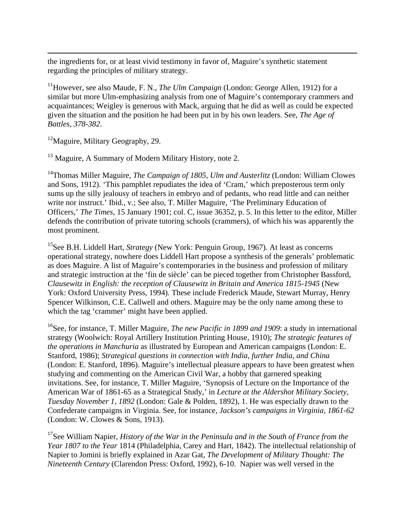the ingredients for, or at least vivid testimony in favor of, Maguire's synthetic statement regarding the principles of military strategy.

<sup>11</sup>However, see also Maude, F. N., *The Ulm Campaign* (London: George Allen, 1912) for a similar but more Ulm-emphasizing analysis from one of Maguire's contemporary crammers and acquaintances; Weigley is generous with Mack, arguing that he did as well as could be expected given the situation and the position he had been put in by his own leaders. See, *The Age of Battles, 378-382*.

 $12$ Maguire, Military Geography, 29.

<span id="page-10-0"></span> $\overline{a}$ 

<sup>13</sup> Maguire, A Summary of Modern Military History, note 2.

<sup>14</sup>Thomas Miller Maguire, *The Campaign of 1805, Ulm and Austerlitz* (London: William Clowes and Sons, 1912). 'This pamphlet repudiates the idea of 'Cram,' which preposterous term only sums up the silly jealousy of teachers in embryo and of pedants, who read little and can neither write nor instruct.' Ibid., v.; See also, T. Miller Maguire, 'The Preliminary Education of Officers,' *The Times*, 15 January 1901; col. C, issue 36352, p. 5. In this letter to the editor, Miller defends the contribution of private tutoring schools (crammers), of which his was apparently the most prominent.

<sup>15</sup>See B.H. Liddell Hart, *Strategy* (New York: Penguin Group, 1967). At least as concerns operational strategy, nowhere does Liddell Hart propose a synthesis of the generals' problematic as does Maguire. A list of Maguire's contemporaries in the business and profession of military and strategic instruction at the 'fin de siècle' can be pieced together from Christopher Bassford, *Clausewitz in English: the reception of Clausewitz in Britain and America 1815-1945* (New York: Oxford University Press, 1994). These include Frederick Maude, Stewart Murray, Henry Spencer Wilkinson, C.E. Callwell and others. Maguire may be the only name among these to which the tag 'crammer' might have been applied.

16See, for instance, T. Miller Maguire, *The new Pacific in 1899 and 1909*: a study in international strategy (Woolwich: Royal Artillery Institution Printing House, 1910); *The strategic features of the operations in Manchuria* as illustrated by European and American campaigns (London: E. Stanford, 1986); *Strategical questions in connection with India, further India, and China* (London: E. Stanford, 1896). Maguire's intellectual pleasure appears to have been greatest when studying and commenting on the American Civil War, a hobby that garnered speaking invitations. See, for instance, T. Miller Maguire, 'Synopsis of Lecture on the Importance of the American War of 1861-65 as a Strategical Study,' in *Lecture at the Aldershot Military Society, Tuesday November 1, 1892* (London: Gale & Polden, 1892), 1. He was especially drawn to the Confederate campaigns in Virginia. See, for instance, *Jackson's campaigns in Virginia, 1861-62* (London: W. Clowes & Sons, 1913).

17See William Napier, *History of the War in the Peninsula and in the South of France from the Year 1807 to the Year* 1814 (Philadelphia, Carey and Hart, 1842). The intellectual relationship of Napier to Jomini is briefly explained in Azar Gat, *The Development of Military Thought: The Nineteenth Century* (Clarendon Press: Oxford, 1992), 6-10. Napier was well versed in the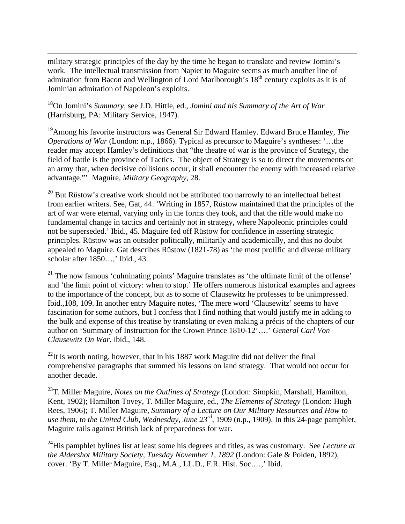military strategic principles of the day by the time he began to translate and review Jomini's work. The intellectual transmission from Napier to Maguire seems as much another line of admiration from Bacon and Wellington of Lord Marlborough's  $18<sup>th</sup>$  century exploits as it is of Jominian admiration of Napoleon's exploits.

18On Jomini's *Summary*, see J.D. Hittle, ed., *Jomini and his Summary of the Art of War* (Harrisburg, PA: Military Service, 1947).

<span id="page-11-0"></span> $\overline{a}$ 

19Among his favorite instructors was General Sir Edward Hamley. Edward Bruce Hamley, *The Operations of War* (London: n.p., 1866). Typical as precursor to Maguire's syntheses: '…the reader may accept Hamley's definitions that "the theatre of war is the province of Strategy, the field of battle is the province of Tactics. The object of Strategy is so to direct the movements on an army that, when decisive collisions occur, it shall encounter the enemy with increased relative advantage."' Maguire, *Military Geography*, 28.

 $20$  But Rüstow's creative work should not be attributed too narrowly to an intellectual behest from earlier writers. See, Gat, 44. 'Writing in 1857, Rüstow maintained that the principles of the art of war were eternal, varying only in the forms they took, and that the rifle would make no fundamental change in tactics and certainly not in strategy, where Napoleonic principles could not be superseded.' Ibid., 45. Maguire fed off Rüstow for confidence in asserting strategic principles. Rüstow was an outsider politically, militarily and academically, and this no doubt appealed to Maguire. Gat describes Rüstow (1821-78) as 'the most prolific and diverse military scholar after 1850…,' Ibid., 43.

<sup>21</sup> The now famous 'culminating points' Maguire translates as 'the ultimate limit of the offense' and 'the limit point of victory: when to stop.' He offers numerous historical examples and agrees to the importance of the concept, but as to some of Clausewitz he professes to be unimpressed. Ibid.,108, 109. In another entry Maguire notes, 'The mere word 'Clausewitz' seems to have fascination for some authors, but I confess that I find nothing that would justify me in adding to the bulk and expense of this treatise by translating or even making a précis of the chapters of our author on 'Summary of Instruction for the Crown Prince 1810-12'….' *General Carl Von Clausewitz On War*, ibid., 148.

 $^{22}$ It is worth noting, however, that in his 1887 work Maguire did not deliver the final comprehensive paragraphs that summed his lessons on land strategy. That would not occur for another decade.

23T. Miller Maguire, *Notes on the Outlines of Strategy* (London: Simpkin, Marshall, Hamilton, Kent, 1902); Hamilton Tovey, T. Miller Maguire, ed., *The Elements of Strategy* (London: Hugh Rees, 1906); T. Miller Maguire, *Summary of a Lecture on Our Military Resources and How to use them, to the United Club, Wednesday, June 23rd*, 1909 (n.p., 1909). In this 24-page pamphlet, Maguire rails against British lack of preparedness for war.

24His pamphlet bylines list at least some his degrees and titles, as was customary. See *Lecture at the Aldershot Military Society, Tuesday November 1, 1892* (London: Gale & Polden, 1892), cover. 'By T. Miller Maguire, Esq., M.A., LL.D., F.R. Hist. Soc.…,' Ibid.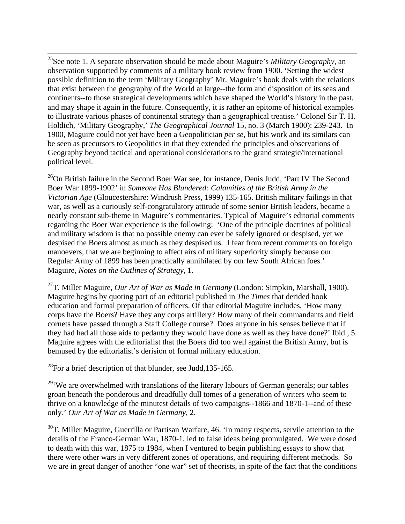<span id="page-12-0"></span> $\overline{a}$ 25See note 1. A separate observation should be made about Maguire's *Military Geography*, an observation supported by comments of a military book review from 1900. 'Setting the widest possible definition to the term 'Military Geography' Mr. Maguire's book deals with the relations that exist between the geography of the World at large--the form and disposition of its seas and continents--to those strategical developments which have shaped the World's history in the past, and may shape it again in the future. Consequently, it is rather an epitome of historical examples to illustrate various phases of continental strategy than a geographical treatise.' Colonel Sir T. H. Holdich, 'Military Geography,' *The Geographical Journal* 15, no. 3 (March 1900): 239-243. In 1900, Maguire could not yet have been a Geopolitician *per se*, but his work and its similars can be seen as precursors to Geopolitics in that they extended the principles and observations of Geography beyond tactical and operational considerations to the grand strategic/international political level.

 $^{26}$ On British failure in the Second Boer War see, for instance, Denis Judd, 'Part IV The Second Boer War 1899-1902' in *Someone Has Blundered: Calamities of the British Army in the Victorian Age* (Gloucestershire: Windrush Press, 1999) 135-165. British military failings in that war, as well as a curiously self-congratulatory attitude of some senior British leaders, became a nearly constant sub-theme in Maguire's commentaries. Typical of Maguire's editorial comments regarding the Boer War experience is the following: 'One of the principle doctrines of political and military wisdom is that no possible enemy can ever be safely ignored or despised, yet we despised the Boers almost as much as they despised us. I fear from recent comments on foreign manoevers, that we are beginning to affect airs of military superiority simply because our Regular Army of 1899 has been practically annihilated by our few South African foes.' Maguire, *Notes on the Outlines of Strategy*, 1.

27T. Miller Maguire, *Our Art of War as Made in Germany* (London: Simpkin, Marshall, 1900). Maguire begins by quoting part of an editorial published in *The Times* that derided book education and formal preparation of officers. Of that editorial Maguire includes, 'How many corps have the Boers? Have they any corps artillery? How many of their commandants and field cornets have passed through a Staff College course? Does anyone in his senses believe that if they had had all those aids to pedantry they would have done as well as they have done?' Ibid., 5. Maguire agrees with the editorialist that the Boers did too well against the British Army, but is bemused by the editorialist's derision of formal military education.

 $^{28}$ For a brief description of that blunder, see Judd,135-165.

 $29\degree$ We are overwhelmed with translations of the literary labours of German generals; our tables groan beneath the ponderous and dreadfully dull tomes of a generation of writers who seem to thrive on a knowledge of the minutest details of two campaigns--1866 and 1870-1--and of these only.' *Our Art of War as Made in Germany*, 2.

 $30$ T. Miller Maguire, Guerrilla or Partisan Warfare, 46. 'In many respects, servile attention to the details of the Franco-German War, 1870-1, led to false ideas being promulgated. We were dosed to death with this war, 1875 to 1984, when I ventured to begin publishing essays to show that there were other wars in very different zones of operations, and requiring different methods. So we are in great danger of another "one war" set of theorists, in spite of the fact that the conditions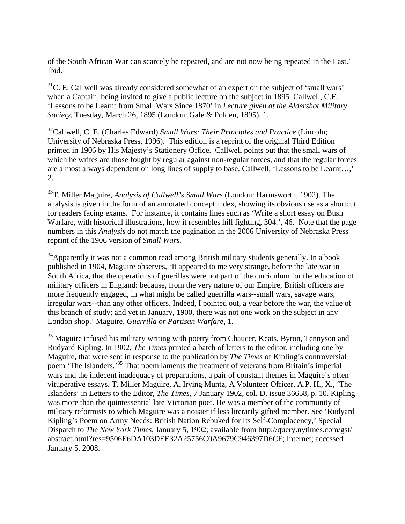<span id="page-13-0"></span>of the South African War can scarcely be repeated, and are not now being repeated in the East.' Ibid.

 $\overline{a}$ 

 $31$ C. E. Callwell was already considered somewhat of an expert on the subject of 'small wars' when a Captain, being invited to give a public lecture on the subject in 1895. Callwell, C.E. 'Lessons to be Learnt from Small Wars Since 1870' in *Lecture given at the Aldershot Military Society*, Tuesday, March 26, 1895 (London: Gale & Polden, 1895), 1.

<sup>32</sup>Callwell, C. E. (Charles Edward) *Small Wars: Their Principles and Practice* (Lincoln; University of Nebraska Press, 1996). This edition is a reprint of the original Third Edition printed in 1906 by His Majesty's Stationery Office. Callwell points out that the small wars of which he writes are those fought by regular against non-regular forces, and that the regular forces are almost always dependent on long lines of supply to base. Callwell, 'Lessons to be Learnt…,' 2.

33T. Miller Maguire, *Analysis of Callwell's Small Wars* (London: Harmsworth, 1902). The analysis is given in the form of an annotated concept index, showing its obvious use as a shortcut for readers facing exams. For instance, it contains lines such as 'Write a short essay on Bush Warfare, with historical illustrations, how it resembles hill fighting, 304.', 46. Note that the page numbers in this *Analysis* do not match the pagination in the 2006 University of Nebraska Press reprint of the 1906 version of *Small Wars*.

 $34$ Apparently it was not a common read among British military students generally. In a book published in 1904, Maguire observes, 'It appeared to me very strange, before the late war in South Africa, that the operations of guerillas were not part of the curriculum for the education of military officers in England: because, from the very nature of our Empire, British officers are more frequently engaged, in what might be called guerrilla wars--small wars, savage wars, irregular wars--than any other officers. Indeed, I pointed out, a year before the war, the value of this branch of study; and yet in January, 1900, there was not one work on the subject in any London shop.' Maguire, *Guerrilla or Partisan Warfare*, 1.

 $35$  Maguire infused his military writing with poetry from Chaucer, Keats, Byron, Tennyson and Rudyard Kipling. In 1902, *The Times* printed a batch of letters to the editor, including one by Maguire, that were sent in response to the publication by *The Times* of Kipling's controversial poem 'The Islanders.'35 That poem laments the treatment of veterans from Britain's imperial wars and the indecent inadequacy of preparations, a pair of constant themes in Maguire's often vituperative essays. T. Miller Maguire, A. Irving Muntz, A Volunteer Officer, A.P. H., X., 'The Islanders' in Letters to the Editor, *The Times*, 7 January 1902, col. D, issue 36658, p. 10. Kipling was more than the quintessential late Victorian poet. He was a member of the community of military reformists to which Maguire was a noisier if less literarily gifted member. See 'Rudyard Kipling's Poem on Army Needs: British Nation Rebuked for Its Self-Complacency,' Special Dispatch to *The New York Times*, January 5, 1902; available from http://query.nytimes.com/gst/ abstract.html?res=9506E6DA103DEE32A25756C0A9679C946397D6CF; Internet; accessed January 5, 2008.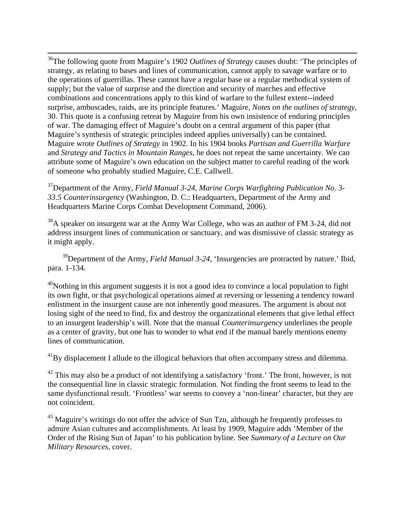<span id="page-14-0"></span>36The following quote from Maguire's 1902 *Outlines of Strategy* causes doubt: 'The principles of strategy, as relating to bases and lines of communication, cannot apply to savage warfare or to the operations of guerrillas. These cannot have a regular base or a regular methodical system of supply; but the value of surprise and the direction and security of marches and effective combinations and concentrations apply to this kind of warfare to the fullest extent--indeed surprise, ambuscades, raids, are its principle features.' Maguire, *Notes on the outlines of strategy*, 30. This quote is a confusing retreat by Maguire from his own insistence of enduring principles of war. The damaging effect of Maguire's doubt on a central argument of this paper (that Maguire's synthesis of strategic principles indeed applies universally) can be contained. Maguire wrote *Outlines of Strategy* in 1902. In his 1904 books *Partisan and Guerrilla Warfare* and *Strategy and Tactics in Mountain Ranges*, he does not repeat the same uncertainty. We can attribute some of Maguire's own education on the subject matter to careful reading of the work of someone who probably studied Maguire, C.E. Callwell.

 $\overline{a}$ 

37Department of the Army, *Field Manual 3-24, Marine Corps Warfighting Publication No. 3- 33.5 Counterinsurgency* (Washington, D. C.: Headquarters, Department of the Army and Headquarters Marine Corps Combat Development Command, 2006).

 $38<sup>38</sup>A$  speaker on insurgent war at the Army War College, who was an author of FM 3-24, did not address insurgent lines of communication or sanctuary, and was dismissive of classic strategy as it might apply.

<sup>39</sup>Department of the Army, *Field Manual 3-24*, 'Insurgencies are protracted by nature.' Ibid, para. 1-134.

 $^{40}$ Nothing in this argument suggests it is not a good idea to convince a local population to fight its own fight, or that psychological operations aimed at reversing or lessening a tendency toward enlistment in the insurgent cause are not inherently good measures. The argument is about not losing sight of the need to find, fix and destroy the organizational elements that give lethal effect to an insurgent leadership's will. Note that the manual *Counterinsurgency* underlines the people as a center of gravity, but one has to wonder to what end if the manual barely mentions enemy lines of communication.

 $^{41}$ By displacement I allude to the illogical behaviors that often accompany stress and dilemma.

 $^{42}$  This may also be a product of not identifying a satisfactory 'front.' The front, however, is not the consequential line in classic strategic formulation. Not finding the front seems to lead to the same dysfunctional result. 'Frontless' war seems to convey a 'non-linear' character, but they are not coincident.

 $43$  Maguire's writings do not offer the advice of Sun Tzu, although he frequently professes to admire Asian cultures and accomplishments. At least by 1909, Maguire adds 'Member of the Order of the Rising Sun of Japan' to his publication byline. See *Summary of a Lecture on Our Military Resources*, cover.